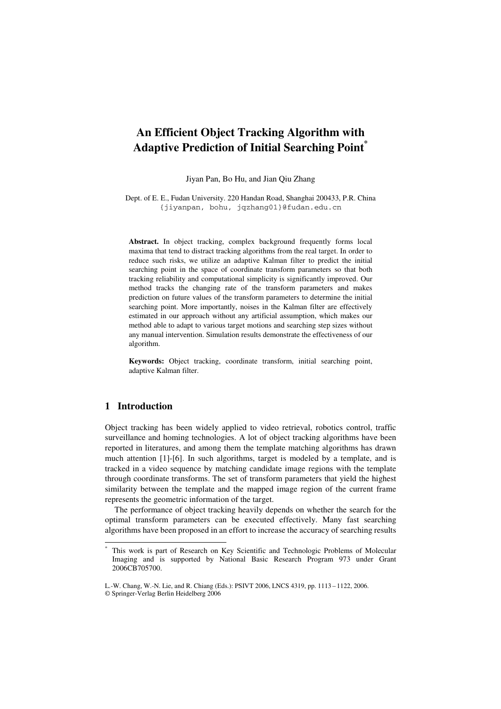# **An Efficient Object Tracking Algorithm with Adaptive Prediction of Initial Searching Point\***

Jiyan Pan, Bo Hu, and Jian Qiu Zhang

Dept. of E. E., Fudan University. 220 Handan Road, Shanghai 200433, P.R. China {jiyanpan, bohu, jqzhang01}@fudan.edu.cn

**Abstract.** In object tracking, complex background frequently forms local maxima that tend to distract tracking algorithms from the real target. In order to reduce such risks, we utilize an adaptive Kalman filter to predict the initial searching point in the space of coordinate transform parameters so that both tracking reliability and computational simplicity is significantly improved. Our method tracks the changing rate of the transform parameters and makes prediction on future values of the transform parameters to determine the initial searching point. More importantly, noises in the Kalman filter are effectively estimated in our approach without any artificial assumption, which makes our method able to adapt to various target motions and searching step sizes without any manual intervention. Simulation results demonstrate the effectiveness of our algorithm.

**Keywords:** Object tracking, coordinate transform, initial searching point, adaptive Kalman filter.

# **1 Introduction**

-

Object tracking has been widely applied to video retrieval, robotics control, traffic surveillance and homing technologies. A lot of object tracking algorithms have been reported in literatures, and among them the template matching algorithms has drawn much attention [1]-[6]. In such algorithms, target is modeled by a template, and is tracked in a video sequence by matching candidate image regions with the template through coordinate transforms. The set of transform parameters that yield the highest similarity between the template and the mapped image region of the current frame represents the geometric information of the target.

The performance of object tracking heavily depends on whether the search for the optimal transform parameters can be executed effectively. Many fast searching algorithms have been proposed in an effort to increase the accuracy of searching results

<sup>\*</sup> This work is part of Research on Key Scientific and Technologic Problems of Molecular Imaging and is supported by National Basic Research Program 973 under Grant 2006CB705700.

L.-W. Chang, W.-N. Lie, and R. Chiang (Eds.): PSIVT 2006, LNCS 4319, pp. 1113 – 1122, 2006. © Springer-Verlag Berlin Heidelberg 2006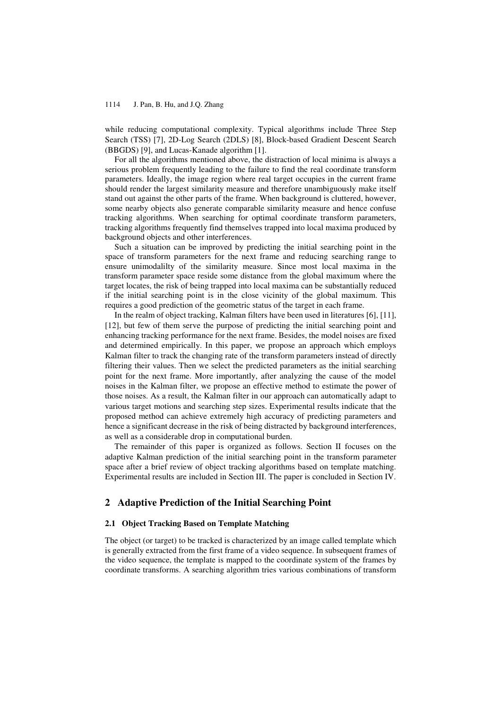while reducing computational complexity. Typical algorithms include Three Step Search (TSS) [7], 2D-Log Search (2DLS) [8], Block-based Gradient Descent Search (BBGDS) [9], and Lucas-Kanade algorithm [1].

For all the algorithms mentioned above, the distraction of local minima is always a serious problem frequently leading to the failure to find the real coordinate transform parameters. Ideally, the image region where real target occupies in the current frame should render the largest similarity measure and therefore unambiguously make itself stand out against the other parts of the frame. When background is cluttered, however, some nearby objects also generate comparable similarity measure and hence confuse tracking algorithms. When searching for optimal coordinate transform parameters, tracking algorithms frequently find themselves trapped into local maxima produced by background objects and other interferences.

Such a situation can be improved by predicting the initial searching point in the space of transform parameters for the next frame and reducing searching range to ensure unimodalilty of the similarity measure. Since most local maxima in the transform parameter space reside some distance from the global maximum where the target locates, the risk of being trapped into local maxima can be substantially reduced if the initial searching point is in the close vicinity of the global maximum. This requires a good prediction of the geometric status of the target in each frame.

In the realm of object tracking, Kalman filters have been used in literatures [6], [11], [12], but few of them serve the purpose of predicting the initial searching point and enhancing tracking performance for the next frame. Besides, the model noises are fixed and determined empirically. In this paper, we propose an approach which employs Kalman filter to track the changing rate of the transform parameters instead of directly filtering their values. Then we select the predicted parameters as the initial searching point for the next frame. More importantly, after analyzing the cause of the model noises in the Kalman filter, we propose an effective method to estimate the power of those noises. As a result, the Kalman filter in our approach can automatically adapt to various target motions and searching step sizes. Experimental results indicate that the proposed method can achieve extremely high accuracy of predicting parameters and hence a significant decrease in the risk of being distracted by background interferences, as well as a considerable drop in computational burden.

The remainder of this paper is organized as follows. Section II focuses on the adaptive Kalman prediction of the initial searching point in the transform parameter space after a brief review of object tracking algorithms based on template matching. Experimental results are included in Section III. The paper is concluded in Section IV.

## **2 Adaptive Prediction of the Initial Searching Point**

## **2.1 Object Tracking Based on Template Matching**

The object (or target) to be tracked is characterized by an image called template which is generally extracted from the first frame of a video sequence. In subsequent frames of the video sequence, the template is mapped to the coordinate system of the frames by coordinate transforms. A searching algorithm tries various combinations of transform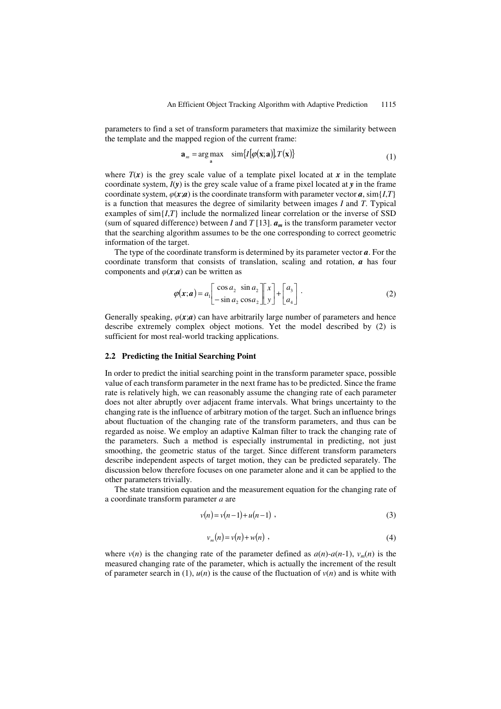parameters to find a set of transform parameters that maximize the similarity between the template and the mapped region of the current frame:

$$
\mathbf{a}_m = \arg\max_{\mathbf{a}} \quad \sin\{I[\varphi(\mathbf{x};\mathbf{a})], T(\mathbf{x})\} \tag{1}
$$

where  $T(x)$  is the grey scale value of a template pixel located at x in the template coordinate system,  $I(\mathbf{v})$  is the grey scale value of a frame pixel located at  $\mathbf{v}$  in the frame coordinate system,  $\varphi(\mathbf{x}; \mathbf{a})$  is the coordinate transform with parameter vector  $\mathbf{a}$ , sim{*I*,*T*} is a function that measures the degree of similarity between images *I* and *T*. Typical examples of sim{*I*,*T*} include the normalized linear correlation or the inverse of SSD (sum of squared difference) between *I* and *T* [13].  $a_m$  is the transform parameter vector that the searching algorithm assumes to be the one corresponding to correct geometric information of the target.

The type of the coordinate transform is determined by its parameter vector *a*. For the coordinate transform that consists of translation, scaling and rotation, *a* has four components and  $\varphi(x; a)$  can be written as

$$
\varphi(\mathbf{x};\mathbf{a}) = a_1 \begin{bmatrix} \cos a_2 & \sin a_2 \\ -\sin a_2 & \cos a_2 \end{bmatrix} \begin{bmatrix} x \\ y \end{bmatrix} + \begin{bmatrix} a_3 \\ a_4 \end{bmatrix}.
$$
 (2)

Generally speaking, *φ*(*x*;*a*) can have arbitrarily large number of parameters and hence describe extremely complex object motions. Yet the model described by (2) is sufficient for most real-world tracking applications.

#### **2.2 Predicting the Initial Searching Point**

In order to predict the initial searching point in the transform parameter space, possible value of each transform parameter in the next frame has to be predicted. Since the frame rate is relatively high, we can reasonably assume the changing rate of each parameter does not alter abruptly over adjacent frame intervals. What brings uncertainty to the changing rate is the influence of arbitrary motion of the target. Such an influence brings about fluctuation of the changing rate of the transform parameters, and thus can be regarded as noise. We employ an adaptive Kalman filter to track the changing rate of the parameters. Such a method is especially instrumental in predicting, not just smoothing, the geometric status of the target. Since different transform parameters describe independent aspects of target motion, they can be predicted separately. The discussion below therefore focuses on one parameter alone and it can be applied to the other parameters trivially.

The state transition equation and the measurement equation for the changing rate of a coordinate transform parameter *a* are

$$
v(n) = v(n-1) + u(n-1) \tag{3}
$$

$$
v_m(n) = v(n) + w(n) \tag{4}
$$

where  $v(n)$  is the changing rate of the parameter defined as  $a(n)$ - $a(n-1)$ ,  $v_m(n)$  is the measured changing rate of the parameter, which is actually the increment of the result of parameter search in (1),  $u(n)$  is the cause of the fluctuation of  $v(n)$  and is white with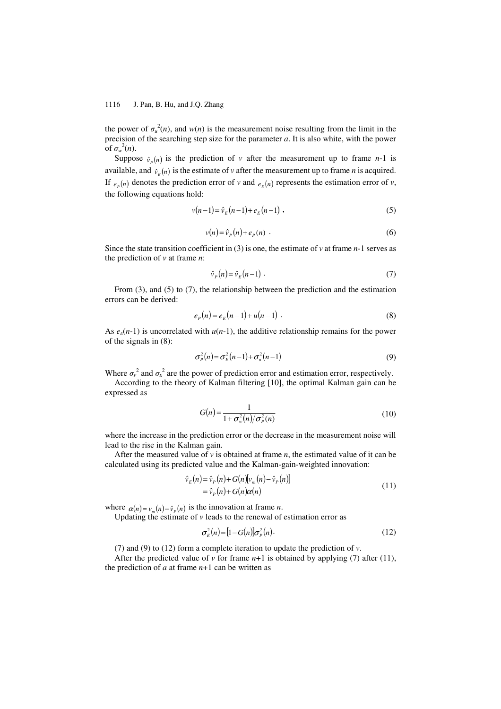the power of  $\sigma_u^2(n)$ , and  $w(n)$  is the measurement noise resulting from the limit in the precision of the searching step size for the parameter *a*. It is also white, with the power of  $\sigma_w^2(n)$ .

Suppose  $\hat{v}_p(n)$  is the prediction of *v* after the measurement up to frame *n*-1 is available, and  $\hat{v}_r(n)$  is the estimate of *v* after the measurement up to frame *n* is acquired. If  $e_p(n)$  denotes the prediction error of *v* and  $e_p(n)$  represents the estimation error of *v*, the following equations hold:

$$
v(n-1) = \hat{v}_E(n-1) + e_E(n-1) \tag{5}
$$

$$
v(n) = \hat{v}_P(n) + e_P(n) \tag{6}
$$

Since the state transition coefficient in (3) is one, the estimate of  $\nu$  at frame *n*-1 serves as the prediction of *v* at frame *n*:

$$
\hat{v}_P(n) = \hat{v}_E(n-1) \tag{7}
$$

From (3), and (5) to (7), the relationship between the prediction and the estimation errors can be derived:

$$
e_P(n) = e_E(n-1) + u(n-1) \tag{8}
$$

As  $e<sub>E</sub>(n-1)$  is uncorrelated with  $u(n-1)$ , the additive relationship remains for the power of the signals in (8):

$$
\sigma_p^2(n) = \sigma_E^2(n-1) + \sigma_u^2(n-1)
$$
\n(9)

Where  $\sigma_P^2$  and  $\sigma_E^2$  are the power of prediction error and estimation error, respectively.

According to the theory of Kalman filtering [10], the optimal Kalman gain can be expressed as

$$
G(n) = \frac{1}{1 + \sigma_w^2(n)/\sigma_p^2(n)}\tag{10}
$$

where the increase in the prediction error or the decrease in the measurement noise will lead to the rise in the Kalman gain.

After the measured value of  $\nu$  is obtained at frame  $n$ , the estimated value of it can be calculated using its predicted value and the Kalman-gain-weighted innovation:

$$
\hat{\nu}_E(n) = \hat{\nu}_P(n) + G(n)[\nu_m(n) - \hat{\nu}_P(n)] \n= \hat{\nu}_P(n) + G(n)\alpha(n)
$$
\n(11)

where  $\alpha(n) = v_m(n) - \hat{v}_p(n)$  is the innovation at frame *n*.

Updating the estimate of *v* leads to the renewal of estimation error as

$$
\sigma_E^2(n) = [1 - G(n)] \sigma_P^2(n). \tag{12}
$$

(7) and (9) to (12) form a complete iteration to update the prediction of *v*.

After the predicted value of *v* for frame  $n+1$  is obtained by applying (7) after (11), the prediction of *a* at frame *n*+1 can be written as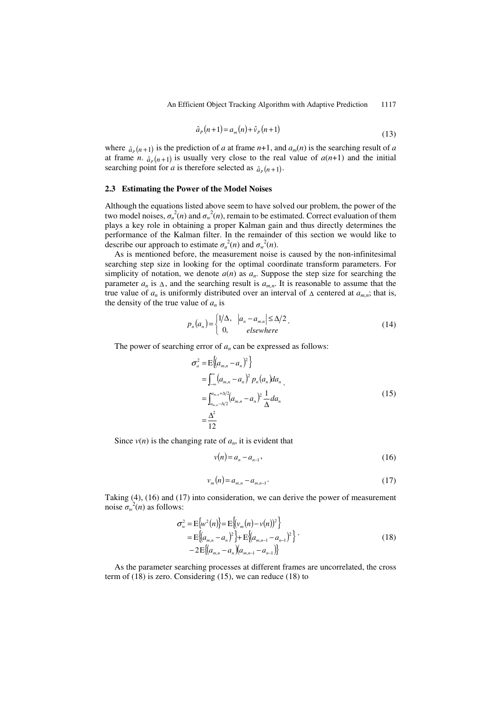$$
\hat{a}_P(n+1) = a_m(n) + \hat{v}_P(n+1)
$$
\n(13)

where  $\hat{a}_p(n+1)$  is the prediction of *a* at frame *n*+1, and  $a_m(n)$  is the searching result of *a* at frame *n*.  $\hat{a}_{\rho}(n+1)$  is usually very close to the real value of  $a(n+1)$  and the initial searching point for *a* is therefore selected as  $\hat{a}_p(n+1)$ .

## **2.3 Estimating the Power of the Model Noises**

Although the equations listed above seem to have solved our problem, the power of the two model noises,  $\sigma_u^2(n)$  and  $\sigma_w^2(n)$ , remain to be estimated. Correct evaluation of them plays a key role in obtaining a proper Kalman gain and thus directly determines the performance of the Kalman filter. In the remainder of this section we would like to describe our approach to estimate  $\sigma_u^2(n)$  and  $\sigma_w^2(n)$ .

As is mentioned before, the measurement noise is caused by the non-infinitesimal searching step size in looking for the optimal coordinate transform parameters. For simplicity of notation, we denote  $a(n)$  as  $a_n$ . Suppose the step size for searching the parameter  $a_n$  is  $\Delta$ , and the searching result is  $a_{m,n}$ . It is reasonable to assume that the true value of  $a_n$  is uniformly distributed over an interval of  $\Delta$  centered at  $a_{m,n}$ ; that is, the density of the true value of  $a_n$  is

$$
p_n(a_n) = \begin{cases} 1/\Delta, & |a_n - a_{m,n}| \le \Delta/2 \\ 0, & \text{elsewhere} \end{cases}
$$
 (14)

The power of searching error of  $a_n$  can be expressed as follows:

$$
\sigma_a^2 = E\Big\{ (a_{m,n} - a_n)^2 \Big\}
$$
  
= 
$$
\int_{-\infty}^{\infty} (a_{m,n} - a_n)^2 p_n(a_n) da_n
$$
  
= 
$$
\int_{a_{m,n} - \Delta/2}^{a_{m,n} + \Delta/2} (a_{m,n} - a_n)^2 \frac{1}{\Delta} da_n
$$
  
= 
$$
\frac{\Delta^2}{12}
$$
 (15)

Since  $v(n)$  is the changing rate of  $a_n$ , it is evident that

$$
v(n) = a_n - a_{n-1},
$$
\n(16)

$$
v_m(n) = a_{m,n} - a_{m,n-1}.
$$
\n(17)

Taking (4), (16) and (17) into consideration, we can derive the power of measurement noise  $\sigma_w^2(n)$  as follows:

$$
\sigma_w^2 = \mathbb{E}\{w^2(n)\} = \mathbb{E}\{(\nu_m(n) - \nu(n))^2\}
$$
  
=  $\mathbb{E}\{(a_{m,n} - a_n)^2\} + \mathbb{E}\{(a_{m,n-1} - a_{n-1})^2\}$  (18)  
-  $2\mathbb{E}\{(a_{m,n} - a_n)(a_{m,n-1} - a_{n-1})\}$ 

As the parameter searching processes at different frames are uncorrelated, the cross term of (18) is zero. Considering (15), we can reduce (18) to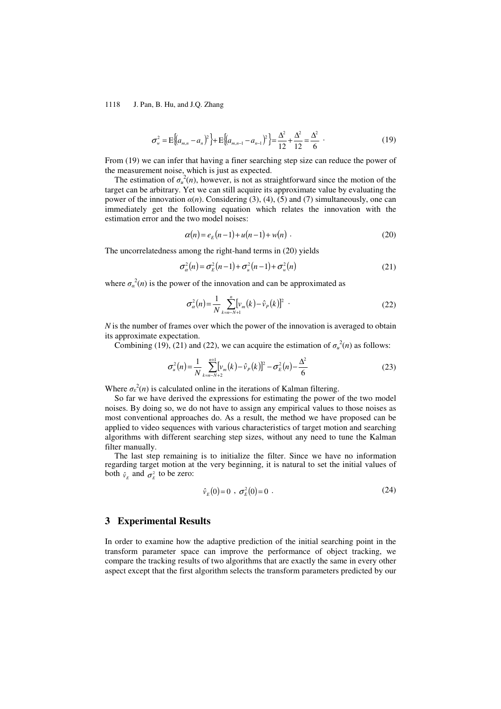$$
\sigma_w^2 = \mathbb{E}\Big\{(a_{m,n} - a_n)^2\Big\} + \mathbb{E}\Big\{(a_{m,n-1} - a_{n-1})^2\Big\} = \frac{\Delta^2}{12} + \frac{\Delta^2}{12} = \frac{\Delta^2}{6} \tag{19}
$$

From (19) we can infer that having a finer searching step size can reduce the power of the measurement noise, which is just as expected.

The estimation of  $\sigma_u^2(n)$ , however, is not as straightforward since the motion of the target can be arbitrary. Yet we can still acquire its approximate value by evaluating the power of the innovation  $\alpha(n)$ . Considering (3), (4), (5) and (7) simultaneously, one can immediately get the following equation which relates the innovation with the estimation error and the two model noises:

$$
\alpha(n) = e_E(n-1) + u(n-1) + w(n) \tag{20}
$$

The uncorrelatedness among the right-hand terms in (20) yields

$$
\sigma_{\alpha}^2(n) = \sigma_{E}^2(n-1) + \sigma_{u}^2(n-1) + \sigma_{w}^2(n)
$$
\n(21)

where  $\sigma_a^2(n)$  is the power of the innovation and can be approximated as

$$
\sigma_{\alpha}^{2}(n) = \frac{1}{N} \sum_{k=n-N+1}^{n} [v_{m}(k) - \hat{v}_{p}(k)]^{2} \quad . \tag{22}
$$

*N* is the number of frames over which the power of the innovation is averaged to obtain its approximate expectation.

Combining (19), (21) and (22), we can acquire the estimation of  $\sigma_u^2(n)$  as follows:

$$
\sigma_u^2(n) = \frac{1}{N} \sum_{k=n-N+2}^{n+1} [v_m(k) - \hat{v}_p(k)]^2 - \sigma_E^2(n) - \frac{\Delta^2}{6}
$$
 (23)

Where  $\sigma_E^2(n)$  is calculated online in the iterations of Kalman filtering.

So far we have derived the expressions for estimating the power of the two model noises. By doing so, we do not have to assign any empirical values to those noises as most conventional approaches do. As a result, the method we have proposed can be applied to video sequences with various characteristics of target motion and searching algorithms with different searching step sizes, without any need to tune the Kalman filter manually.

The last step remaining is to initialize the filter. Since we have no information regarding target motion at the very beginning, it is natural to set the initial values of both  $\hat{v}_F$  and  $\sigma_F^2$  to be zero:

$$
\hat{v}_E(0) = 0 \; , \; \sigma_E^2(0) = 0 \; . \tag{24}
$$

# **3 Experimental Results**

In order to examine how the adaptive prediction of the initial searching point in the transform parameter space can improve the performance of object tracking, we compare the tracking results of two algorithms that are exactly the same in every other aspect except that the first algorithm selects the transform parameters predicted by our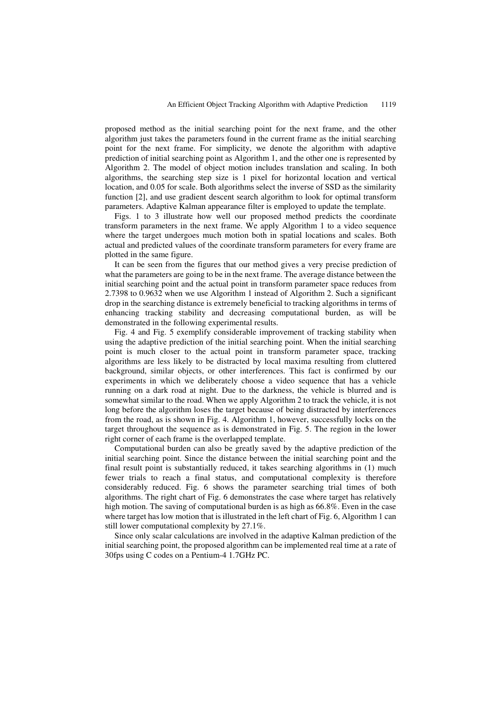proposed method as the initial searching point for the next frame, and the other algorithm just takes the parameters found in the current frame as the initial searching point for the next frame. For simplicity, we denote the algorithm with adaptive prediction of initial searching point as Algorithm 1, and the other one is represented by Algorithm 2. The model of object motion includes translation and scaling. In both algorithms, the searching step size is 1 pixel for horizontal location and vertical location, and 0.05 for scale. Both algorithms select the inverse of SSD as the similarity function [2], and use gradient descent search algorithm to look for optimal transform parameters. Adaptive Kalman appearance filter is employed to update the template.

Figs. 1 to 3 illustrate how well our proposed method predicts the coordinate transform parameters in the next frame. We apply Algorithm 1 to a video sequence where the target undergoes much motion both in spatial locations and scales. Both actual and predicted values of the coordinate transform parameters for every frame are plotted in the same figure.

It can be seen from the figures that our method gives a very precise prediction of what the parameters are going to be in the next frame. The average distance between the initial searching point and the actual point in transform parameter space reduces from 2.7398 to 0.9632 when we use Algorithm 1 instead of Algorithm 2. Such a significant drop in the searching distance is extremely beneficial to tracking algorithms in terms of enhancing tracking stability and decreasing computational burden, as will be demonstrated in the following experimental results.

Fig. 4 and Fig. 5 exemplify considerable improvement of tracking stability when using the adaptive prediction of the initial searching point. When the initial searching point is much closer to the actual point in transform parameter space, tracking algorithms are less likely to be distracted by local maxima resulting from cluttered background, similar objects, or other interferences. This fact is confirmed by our experiments in which we deliberately choose a video sequence that has a vehicle running on a dark road at night. Due to the darkness, the vehicle is blurred and is somewhat similar to the road. When we apply Algorithm 2 to track the vehicle, it is not long before the algorithm loses the target because of being distracted by interferences from the road, as is shown in Fig. 4. Algorithm 1, however, successfully locks on the target throughout the sequence as is demonstrated in Fig. 5. The region in the lower right corner of each frame is the overlapped template.

Computational burden can also be greatly saved by the adaptive prediction of the initial searching point. Since the distance between the initial searching point and the final result point is substantially reduced, it takes searching algorithms in (1) much fewer trials to reach a final status, and computational complexity is therefore considerably reduced. Fig. 6 shows the parameter searching trial times of both algorithms. The right chart of Fig. 6 demonstrates the case where target has relatively high motion. The saving of computational burden is as high as 66.8%. Even in the case where target has low motion that is illustrated in the left chart of Fig. 6, Algorithm 1 can still lower computational complexity by 27.1%.

Since only scalar calculations are involved in the adaptive Kalman prediction of the initial searching point, the proposed algorithm can be implemented real time at a rate of 30fps using C codes on a Pentium-4 1.7GHz PC.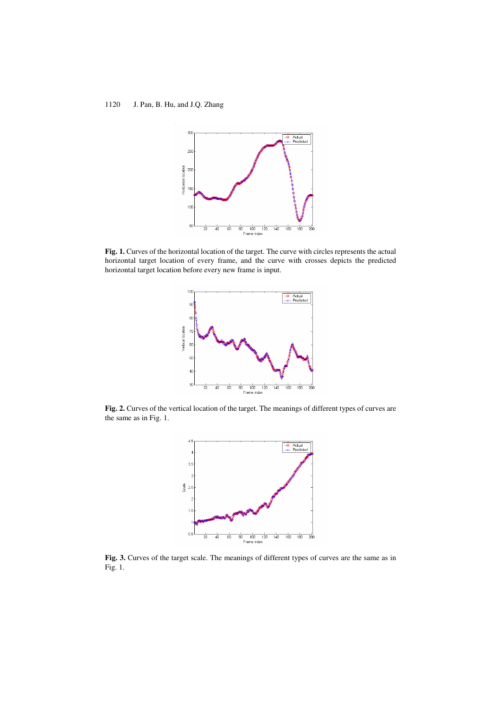

**Fig. 1.** Curves of the horizontal location of the target. The curve with circles represents the actual horizontal target location of every frame, and the curve with crosses depicts the predicted horizontal target location before every new frame is input.



**Fig. 2.** Curves of the vertical location of the target. The meanings of different types of curves are the same as in Fig. 1.



**Fig. 3.** Curves of the target scale. The meanings of different types of curves are the same as in Fig. 1.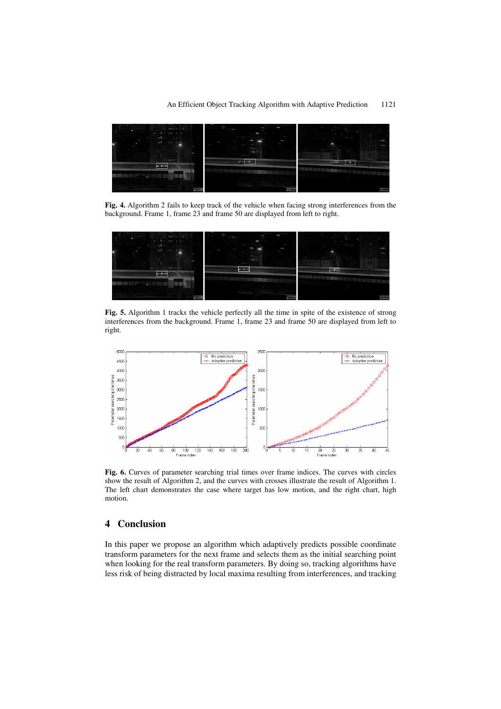

**Fig. 4.** Algorithm 2 fails to keep track of the vehicle when facing strong interferences from the background. Frame 1, frame 23 and frame 50 are displayed from left to right.



**Fig. 5.** Algorithm 1 tracks the vehicle perfectly all the time in spite of the existence of strong interferences from the background. Frame 1, frame 23 and frame 50 are displayed from left to right.



**Fig. 6.** Curves of parameter searching trial times over frame indices. The curves with circles show the result of Algorithm 2, and the curves with crosses illustrate the result of Algorithm 1. The left chart demonstrates the case where target has low motion, and the right chart, high motion.

# **4 Conclusion**

In this paper we propose an algorithm which adaptively predicts possible coordinate transform parameters for the next frame and selects them as the initial searching point when looking for the real transform parameters. By doing so, tracking algorithms have less risk of being distracted by local maxima resulting from interferences, and tracking